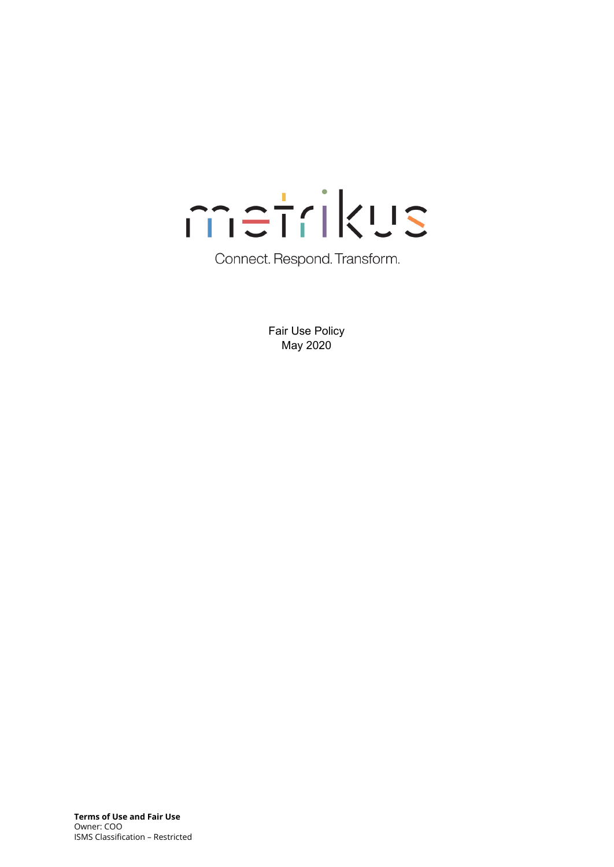

Connect. Respond. Transform.

Fair Use Policy May 2020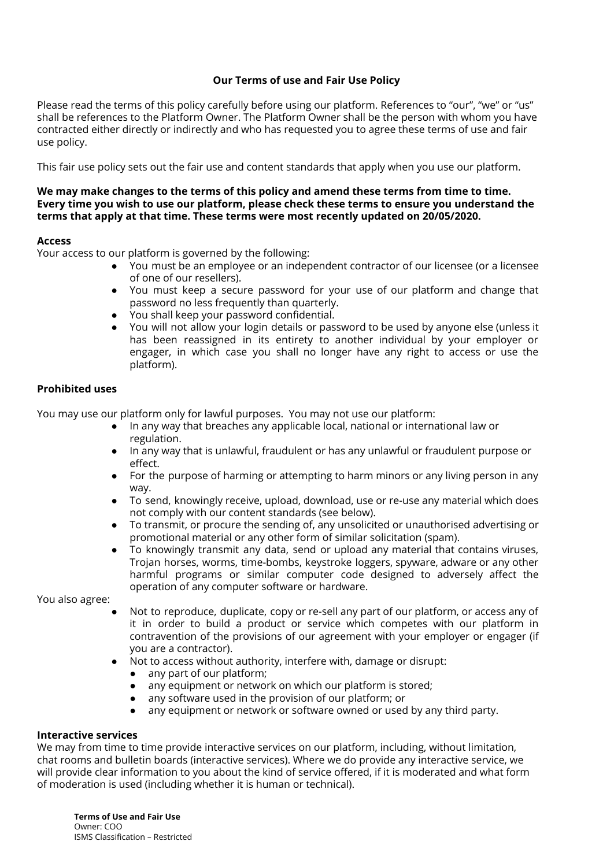# **Our Terms of use and Fair Use Policy**

Please read the terms of this policy carefully before using our platform. References to "our", "we" or "us" shall be references to the Platform Owner. The Platform Owner shall be the person with whom you have contracted either directly or indirectly and who has requested you to agree these terms of use and fair use policy.

This fair use policy sets out the fair use and content standards that apply when you use our platform.

#### **We may make changes to the terms of this policy and amend these terms from time to time. Every time you wish to use our platform, please check these terms to ensure you understand the terms that apply at that time. These terms were most recently updated on 20/05/2020.**

#### **Access**

Your access to our platform is governed by the following:

- You must be an employee or an independent contractor of our licensee (or a licensee of one of our resellers).
- You must keep a secure password for your use of our platform and change that password no less frequently than quarterly.
- You shall keep your password confidential.
- You will not allow your login details or password to be used by anyone else (unless it has been reassigned in its entirety to another individual by your employer or engager, in which case you shall no longer have any right to access or use the platform).

### **Prohibited uses**

You may use our platform only for lawful purposes. You may not use our platform:

- In any way that breaches any applicable local, national or international law or regulation.
- In any way that is unlawful, fraudulent or has any unlawful or fraudulent purpose or effect.
- For the purpose of harming or attempting to harm minors or any living person in any way.
- To send, knowingly receive, upload, download, use or re-use any material which does not comply with our content standards (see below).
- To transmit, or procure the sending of, any unsolicited or unauthorised advertising or promotional material or any other form of similar solicitation (spam).
- To knowingly transmit any data, send or upload any material that contains viruses, Trojan horses, worms, time-bombs, keystroke loggers, spyware, adware or any other harmful programs or similar computer code designed to adversely affect the operation of any computer software or hardware.

You also agree:

- Not to reproduce, duplicate, copy or re-sell any part of our platform, or access any of it in order to build a product or service which competes with our platform in contravention of the provisions of our agreement with your employer or engager (if you are a contractor).
- Not to access without authority, interfere with, damage or disrupt:
	- any part of our platform:
	- any equipment or network on which our platform is stored;
	- any software used in the provision of our platform; or
	- any equipment or network or software owned or used by any third party.

### **Interactive services**

We may from time to time provide interactive services on our platform, including, without limitation, chat rooms and bulletin boards (interactive services). Where we do provide any interactive service, we will provide clear information to you about the kind of service offered, if it is moderated and what form of moderation is used (including whether it is human or technical).

**Terms of Use and Fair Use** Owner: COO ISMS Classification – Restricted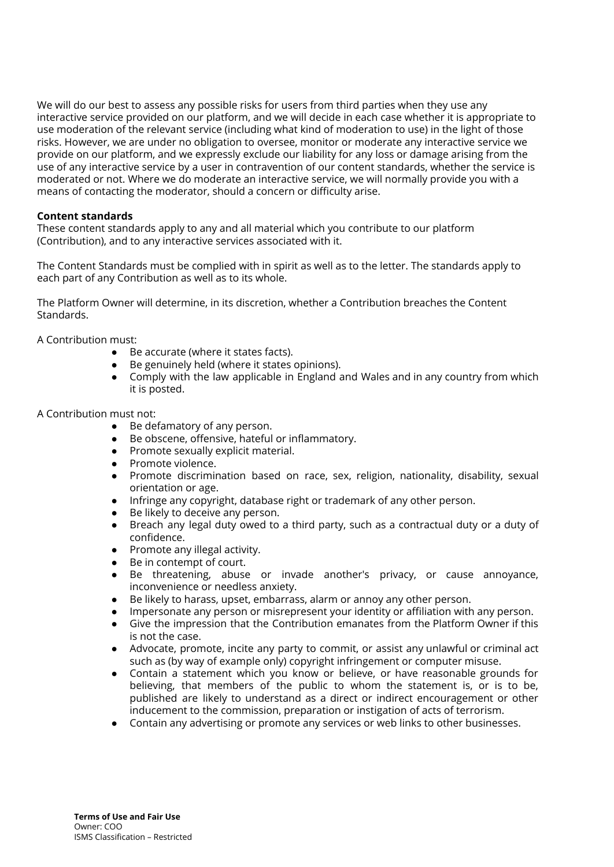We will do our best to assess any possible risks for users from third parties when they use any interactive service provided on our platform, and we will decide in each case whether it is appropriate to use moderation of the relevant service (including what kind of moderation to use) in the light of those risks. However, we are under no obligation to oversee, monitor or moderate any interactive service we provide on our platform, and we expressly exclude our liability for any loss or damage arising from the use of any interactive service by a user in contravention of our content standards, whether the service is moderated or not. Where we do moderate an interactive service, we will normally provide you with a means of contacting the moderator, should a concern or difficulty arise.

## **Content standards**

These content standards apply to any and all material which you contribute to our platform (Contribution), and to any interactive services associated with it.

The Content Standards must be complied with in spirit as well as to the letter. The standards apply to each part of any Contribution as well as to its whole.

The Platform Owner will determine, in its discretion, whether a Contribution breaches the Content Standards.

A Contribution must:

- Be accurate (where it states facts).
- Be genuinely held (where it states opinions).
- Comply with the law applicable in England and Wales and in any country from which it is posted.

### A Contribution must not:

- Be defamatory of any person.
- Be obscene, offensive, hateful or inflammatory.
- Promote sexually explicit material.
- Promote violence.
- Promote discrimination based on race, sex, religion, nationality, disability, sexual orientation or age.
- Infringe any copyright, database right or trademark of any other person.
- Be likely to deceive any person.
- Breach any legal duty owed to a third party, such as a contractual duty or a duty of confidence.
- Promote any illegal activity.
- Be in contempt of court.
- Be threatening, abuse or invade another's privacy, or cause annoyance, inconvenience or needless anxiety.
- Be likely to harass, upset, embarrass, alarm or annoy any other person.
- Impersonate any person or misrepresent your identity or affiliation with any person.
- Give the impression that the Contribution emanates from the Platform Owner if this is not the case.
- Advocate, promote, incite any party to commit, or assist any unlawful or criminal act such as (by way of example only) copyright infringement or computer misuse.
- Contain a statement which you know or believe, or have reasonable grounds for believing, that members of the public to whom the statement is, or is to be, published are likely to understand as a direct or indirect encouragement or other inducement to the commission, preparation or instigation of acts of terrorism.
- Contain any advertising or promote any services or web links to other businesses.